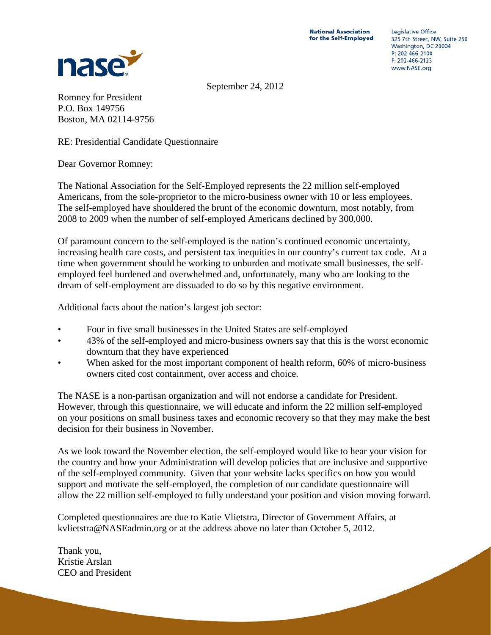

**Legislative Office** 325 7th Street, NW, Suite 250 Washington, DC 20004 P: 202-466-2100  $F: 202 - 466 - 2123$ www.NASE.org

September 24, 2012

Romney for President P.O. Box 149756 Boston, MA 02114-9756

RE: Presidential Candidate Questionnaire

Dear Governor Romney:

The National Association for the Self-Employed represents the 22 million self-employed Americans, from the sole-proprietor to the micro-business owner with 10 or less employees. The self-employed have shouldered the brunt of the economic downturn, most notably, from 2008 to 2009 when the number of self-employed Americans declined by 300,000.

Of paramount concern to the self-employed is the nation's continued economic uncertainty, increasing health care costs, and persistent tax inequities in our country's current tax code. At a time when government should be working to unburden and motivate small businesses, the selfemployed feel burdened and overwhelmed and, unfortunately, many who are looking to the dream of self-employment are dissuaded to do so by this negative environment.

Additional facts about the nation's largest job sector:

- Four in five small businesses in the United States are self-employed
- 43% of the self-employed and micro-business owners say that this is the worst economic downturn that they have experienced
- When asked for the most important component of health reform, 60% of micro-business owners cited cost containment, over access and choice.

The NASE is a non-partisan organization and will not endorse a candidate for President. However, through this questionnaire, we will educate and inform the 22 million self-employed on your positions on small business taxes and economic recovery so that they may make the best decision for their business in November.

As we look toward the November election, the self-employed would like to hear your vision for the country and how your Administration will develop policies that are inclusive and supportive of the self-employed community. Given that your website lacks specifics on how you would support and motivate the self-employed, the completion of our candidate questionnaire will allow the 22 million self-employed to fully understand your position and vision moving forward.

Completed questionnaires are due to Katie Vlietstra, Director of Government Affairs, at kvlietstra@NASEadmin.org or at the address above no later than October 5, 2012.

Thank you, Kristie Arslan CEO and President